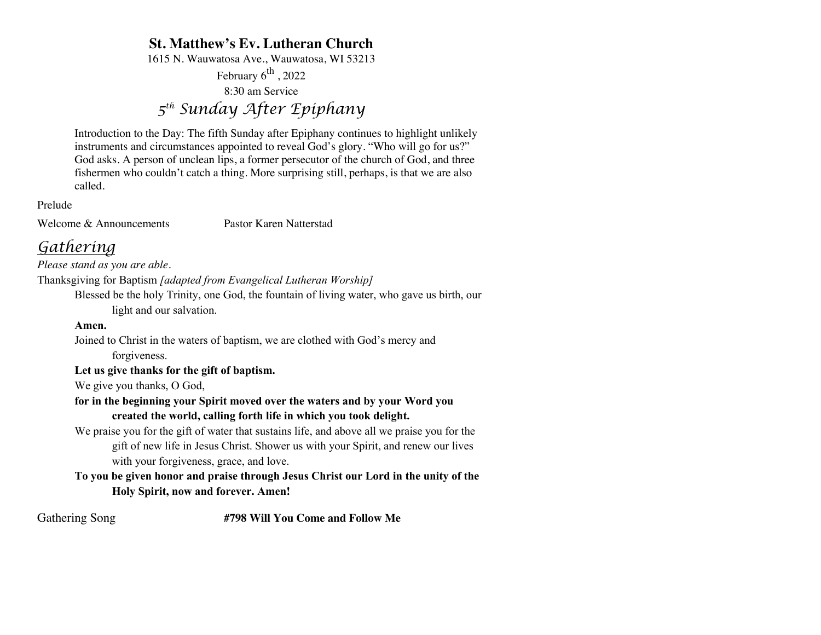## **St. Matthew's Ev. Lutheran Church**

1615 N. Wauwatosa Ave., Wauwatosa, WI 53213

February  $6^{th}$ , 2022

8:30 am Service

# *5th Sunday After Epiphany*

Introduction to the Day: The fifth Sunday after Epiphany continues to highlight unlikely instruments and circumstances appointed to reveal God's glory. "Who will go for us?" God asks. A person of unclean lips, a former persecutor of the church of God, and three fishermen who couldn't catch a thing. More surprising still, perhaps, is that we are also called.

Prelude

Welcome & Announcements Pastor Karen Natterstad

# *Gathering*

*Please stand as you are able.*

Thanksgiving for Baptism *[adapted from Evangelical Lutheran Worship]*

Blessed be the holy Trinity, one God, the fountain of living water, who gave us birth, our light and our salvation.

#### **Amen.**

Joined to Christ in the waters of baptism, we are clothed with God's mercy and forgiveness.

### **Let us give thanks for the gift of baptism.**

We give you thanks, O God,

### **for in the beginning your Spirit moved over the waters and by your Word you created the world, calling forth life in which you took delight.**

We praise you for the gift of water that sustains life, and above all we praise you for the gift of new life in Jesus Christ. Shower us with your Spirit, and renew our lives with your forgiveness, grace, and love.

**To you be given honor and praise through Jesus Christ our Lord in the unity of the Holy Spirit, now and forever. Amen!**

Gathering Song **#798 Will You Come and Follow Me**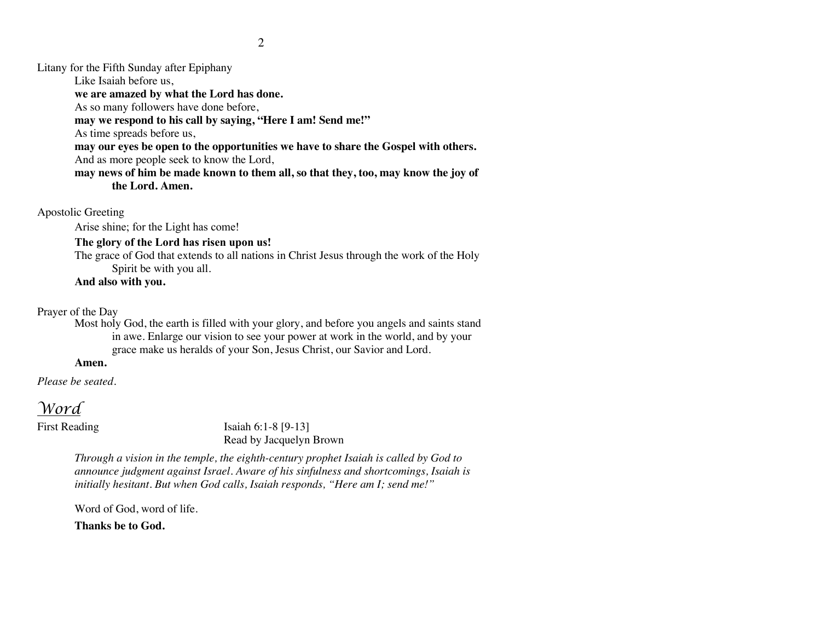Litany for the Fifth Sunday after Epiphany

Like Isaiah before us,

**we are amazed by what the Lord has done.**

As so many followers have done before,

**may we respond to his call by saying, "Here I am! Send me!"**

As time spreads before us,

**may our eyes be open to the opportunities we have to share the Gospel with others.** And as more people seek to know the Lord,

**may news of him be made known to them all, so that they, too, may know the joy of the Lord. Amen.**

Apostolic Greeting

Arise shine; for the Light has come!

#### **The glory of the Lord has risen upon us!**

The grace of God that extends to all nations in Christ Jesus through the work of the Holy Spirit be with you all.

#### **And also with you.**

Prayer of the Day

Most holy God, the earth is filled with your glory, and before you angels and saints stand in awe. Enlarge our vision to see your power at work in the world, and by your grace make us heralds of your Son, Jesus Christ, our Savior and Lord.

#### **Amen.**

*Please be seated.*

## *Word*

First Reading Isaiah 6:1-8 [9-13] Read by Jacquelyn Brown

> *Through a vision in the temple, the eighth-century prophet Isaiah is called by God to announce judgment against Israel. Aware of his sinfulness and shortcomings, Isaiah is initially hesitant. But when God calls, Isaiah responds, "Here am I; send me!"*

Word of God, word of life.

**Thanks be to God.**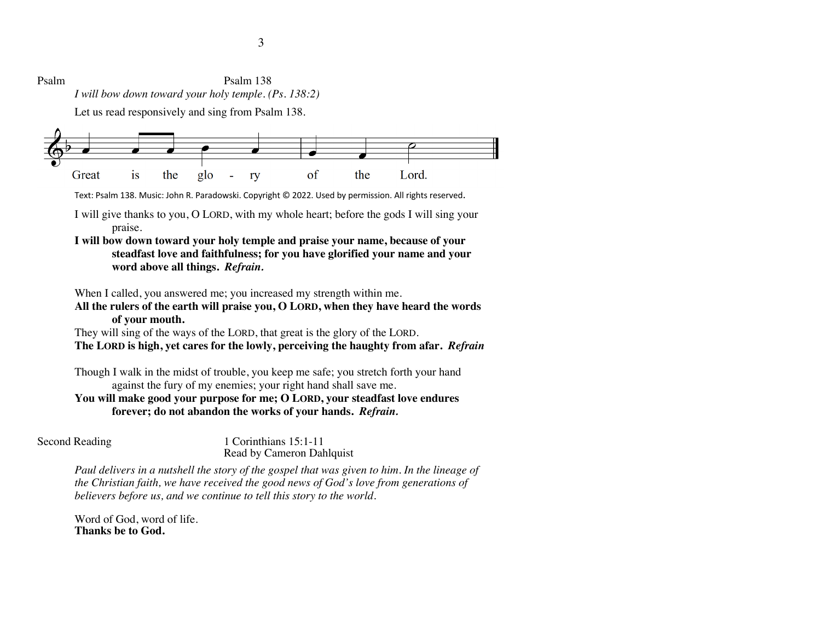Psalm Psalm 138 *I will bow down toward your holy temple. (Ps. 138:2)*

Let us read responsively and sing from Psalm 138.



Text: Psalm 138. Music: John R. Paradowski. Copyright © 2022. Used by permission. All rights reserved.

I will give thanks to you, O LORD, with my whole heart; before the gods I will sing your praise.

#### **I will bow down toward your holy temple and praise your name, because of your steadfast love and faithfulness; for you have glorified your name and your word above all things.** *Refrain.*

When I called, you answered me; you increased my strength within me.

**All the rulers of the earth will praise you, O LORD, when they have heard the words of your mouth.** 

They will sing of the ways of the LORD, that great is the glory of the LORD.

**The LORD is high, yet cares for the lowly, perceiving the haughty from afar.** *Refrain*

Though I walk in the midst of trouble, you keep me safe; you stretch forth your hand against the fury of my enemies; your right hand shall save me.

**You will make good your purpose for me; O LORD, your steadfast love endures forever; do not abandon the works of your hands.** *Refrain.*

Second Reading 1 Corinthians 15:1-11 Read by Cameron Dahlquist

> *Paul delivers in a nutshell the story of the gospel that was given to him. In the lineage of the Christian faith, we have received the good news of God's love from generations of believers before us, and we continue to tell this story to the world.*

Word of God, word of life. **Thanks be to God.**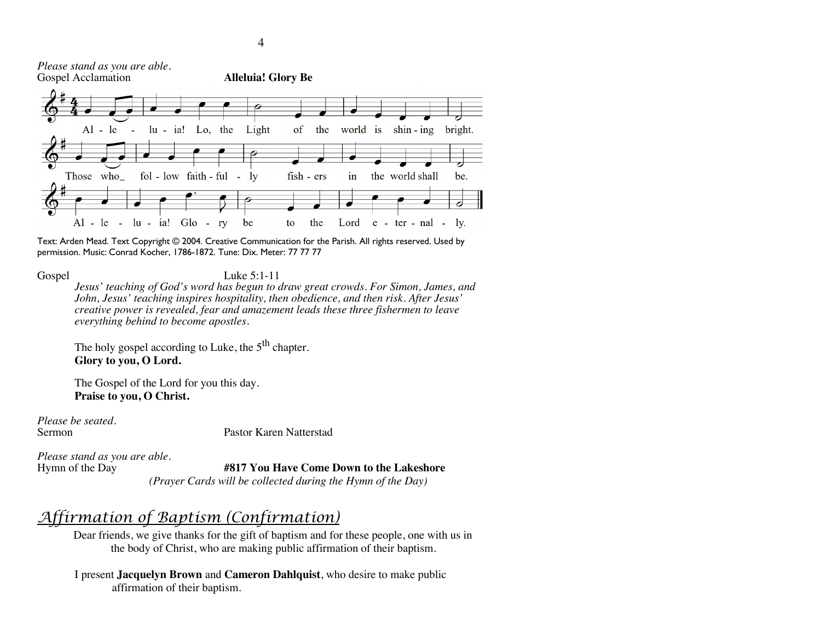*Please stand as you are able.* Gospel Acclamation **Alleluia! Glory Be** Lo, the  $Al - le$  $\ln - i$ a! Light of the world is  $shin - ing$ bright. fol - low faith - ful -Those who  $1v$  $fish -ers$ in the world shall be.  $Al - le - lu - ia!$   $Glo - rv$ he to the Lord  $e$  - ter - nal lv.

Text: Arden Mead. Text Copyright © 2004. Creative Communication for the Parish. All rights reserved. Used by permission. Music: Conrad Kocher, 1786-1872. Tune: Dix. Meter: 77 77 77

Gospel Luke 5:1-11

*Jesus' teaching of God's word has begun to draw great crowds. For Simon, James, and John, Jesus' teaching inspires hospitality, then obedience, and then risk. After Jesus' creative power is revealed, fear and amazement leads these three fishermen to leave everything behind to become apostles.*

The holy gospel according to Luke, the  $5<sup>th</sup>$  chapter. **Glory to you, O Lord.**

The Gospel of the Lord for you this day. **Praise to you, O Christ.**

*Please be seated.*

Sermon Pastor Karen Natterstad

*Please stand as you are able.*

Hymn of the Day **#817 You Have Come Down to the Lakeshore**

*(Prayer Cards will be collected during the Hymn of the Day)*

# *Affirmation of Baptism (Confirmation)*

Dear friends, we give thanks for the gift of baptism and for these people, one with us in the body of Christ, who are making public affirmation of their baptism.

I present **Jacquelyn Brown** and **Cameron Dahlquist**, who desire to make public affirmation of their baptism.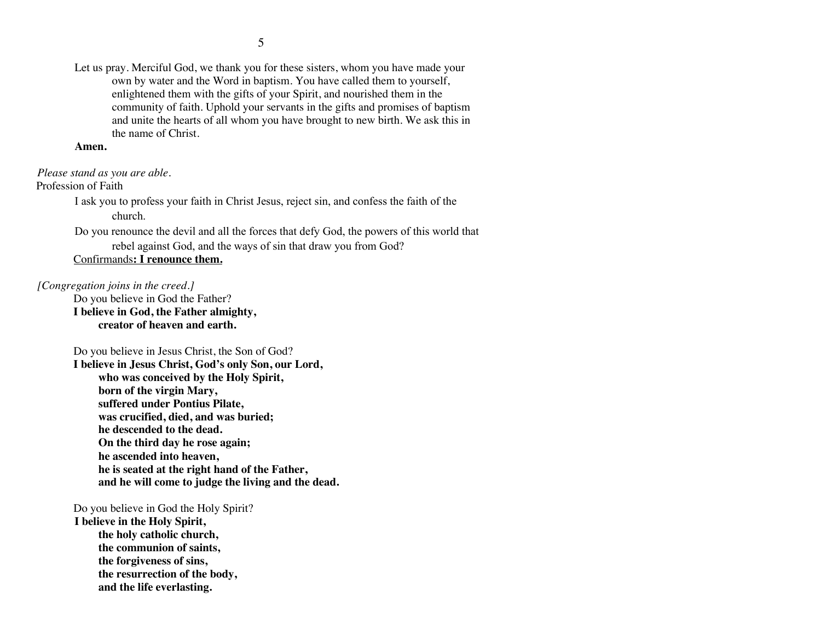Let us pray. Merciful God, we thank you for these sisters, whom you have made your own by water and the Word in baptism. You have called them to yourself, enlightened them with the gifts of your Spirit, and nourished them in the community of faith. Uphold your servants in the gifts and promises of baptism and unite the hearts of all whom you have brought to new birth. We ask this in the name of Christ.

#### **Amen.**

*Please stand as you are able.*

Profession of Faith

I ask you to profess your faith in Christ Jesus, reject sin, and confess the faith of the church.

Do you renounce the devil and all the forces that defy God, the powers of this world that rebel against God, and the ways of sin that draw you from God? Confirmands**: I renounce them.**

#### *[Congregation joins in the creed.]*

Do you believe in God the Father? **I believe in God, the Father almighty, creator of heaven and earth.**

Do you believe in Jesus Christ, the Son of God?

**I believe in Jesus Christ, God's only Son, our Lord, who was conceived by the Holy Spirit, born of the virgin Mary, suffered under Pontius Pilate, was crucified, died, and was buried; he descended to the dead. On the third day he rose again; he ascended into heaven, he is seated at the right hand of the Father, and he will come to judge the living and the dead.**

Do you believe in God the Holy Spirit? **I believe in the Holy Spirit, the holy catholic church, the communion of saints, the forgiveness of sins, the resurrection of the body,**

**and the life everlasting.**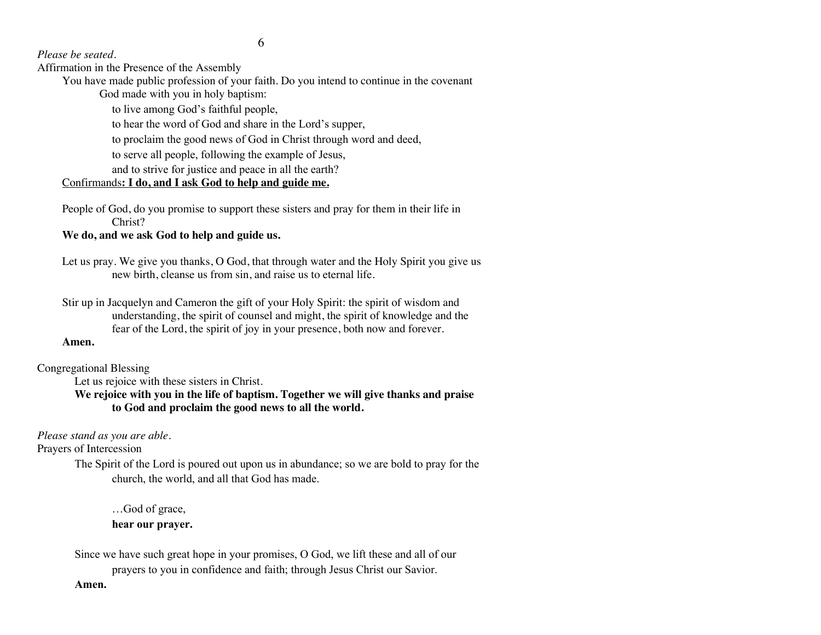6

*Please be seated.*

Affirmation in the Presence of the Assembly

You have made public profession of your faith. Do you intend to continue in the covenant God made with you in holy baptism:

to live among God's faithful people, to hear the word of God and share in the Lord's supper, to proclaim the good news of God in Christ through word and deed,

to serve all people, following the example of Jesus,

and to strive for justice and peace in all the earth?

### Confirmands**: I do, and I ask God to help and guide me.**

People of God, do you promise to support these sisters and pray for them in their life in Christ?

### **We do, and we ask God to help and guide us.**

Let us pray. We give you thanks, O God, that through water and the Holy Spirit you give us new birth, cleanse us from sin, and raise us to eternal life.

Stir up in Jacquelyn and Cameron the gift of your Holy Spirit: the spirit of wisdom and understanding, the spirit of counsel and might, the spirit of knowledge and the fear of the Lord, the spirit of joy in your presence, both now and forever.

#### **Amen.**

Congregational Blessing

Let us rejoice with these sisters in Christ.

**We rejoice with you in the life of baptism. Together we will give thanks and praise to God and proclaim the good news to all the world.**

*Please stand as you are able.*

Prayers of Intercession

The Spirit of the Lord is poured out upon us in abundance; so we are bold to pray for the church, the world, and all that God has made.

…God of grace, **hear our prayer.**

Since we have such great hope in your promises, O God, we lift these and all of our prayers to you in confidence and faith; through Jesus Christ our Savior. **Amen.**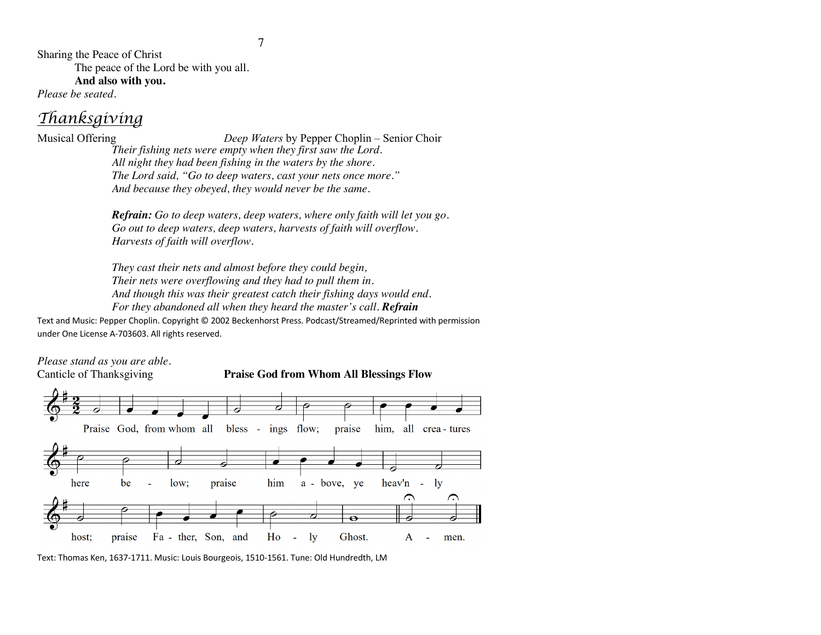Sharing the Peace of Christ The peace of the Lord be with you all. **And also with you.**

*Please be seated.*

# *Thanksgiving*

Musical Offering *Deep Waters* by Pepper Choplin – Senior Choir *Their fishing nets were empty when they first saw the Lord. All night they had been fishing in the waters by the shore. The Lord said, "Go to deep waters, cast your nets once more." And because they obeyed, they would never be the same.*

> *Refrain: Go to deep waters, deep waters, where only faith will let you go. Go out to deep waters, deep waters, harvests of faith will overflow. Harvests of faith will overflow.*

*They cast their nets and almost before they could begin, Their nets were overflowing and they had to pull them in. And though this was their greatest catch their fishing days would end. For they abandoned all when they heard the master's call. Refrain*

Text and Music: Pepper Choplin. Copyright © 2002 Beckenhorst Press. Podcast/Streamed/Reprinted with permission under One License A-703603. All rights reserved.

*Please stand as you are able.*

Praise God from Whom All Blessings Flow



Text: Thomas Ken, 1637-1711. Music: Louis Bourgeois, 1510-1561. Tune: Old Hundredth, LM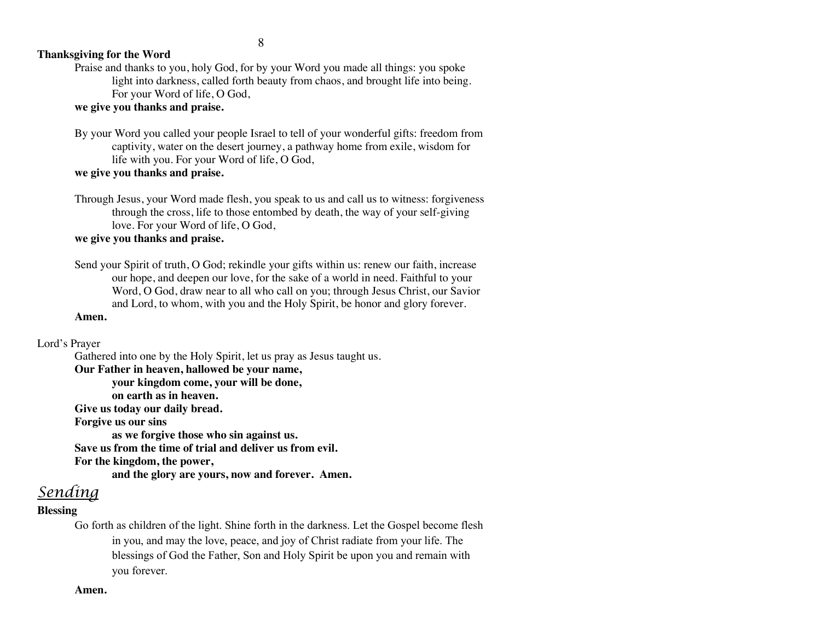#### **Thanksgiving for the Word**

Praise and thanks to you, holy God, for by your Word you made all things: you spoke light into darkness, called forth beauty from chaos, and brought life into being. For your Word of life, O God,

#### **we give you thanks and praise.**

By your Word you called your people Israel to tell of your wonderful gifts: freedom from captivity, water on the desert journey, a pathway home from exile, wisdom for life with you. For your Word of life, O God,

#### **we give you thanks and praise.**

Through Jesus, your Word made flesh, you speak to us and call us to witness: forgiveness through the cross, life to those entombed by death, the way of your self-giving love. For your Word of life, O God,

#### **we give you thanks and praise.**

Send your Spirit of truth, O God; rekindle your gifts within us: renew our faith, increase our hope, and deepen our love, for the sake of a world in need. Faithful to your Word, O God, draw near to all who call on you; through Jesus Christ, our Savior and Lord, to whom, with you and the Holy Spirit, be honor and glory forever.

#### **Amen.**

Lord's Prayer

Gathered into one by the Holy Spirit, let us pray as Jesus taught us.

**Our Father in heaven, hallowed be your name,** 

**your kingdom come, your will be done,** 

**on earth as in heaven.**

**Give us today our daily bread.** 

**Forgive us our sins** 

**as we forgive those who sin against us.** 

**Save us from the time of trial and deliver us from evil.**

**For the kingdom, the power,** 

**and the glory are yours, now and forever. Amen.**

## *Sending*

#### **Blessing**

Go forth as children of the light. Shine forth in the darkness. Let the Gospel become flesh in you, and may the love, peace, and joy of Christ radiate from your life. The blessings of God the Father, Son and Holy Spirit be upon you and remain with you forever.

**Amen.**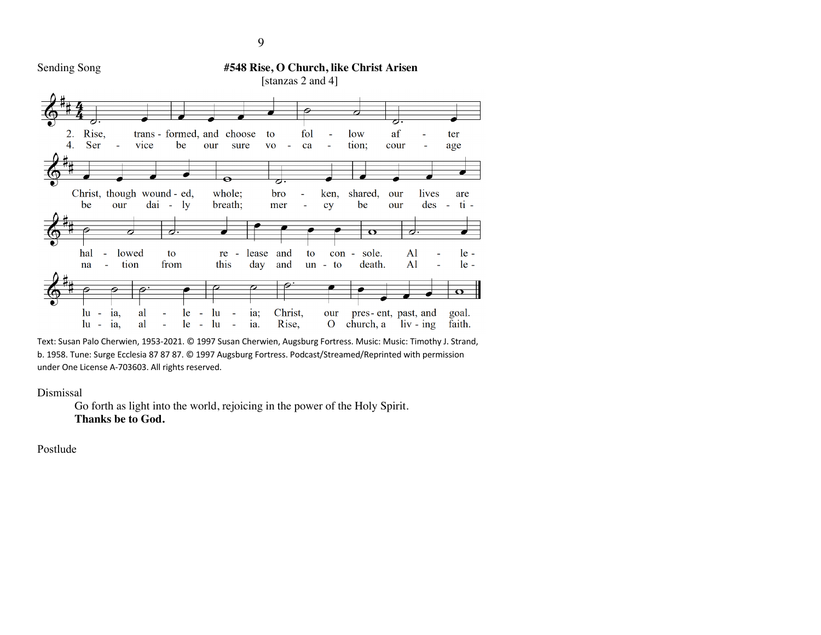Sending Song **#548 Rise, O Church, like Christ Arisen**



Text: Susan Palo Cherwien, 1953-2021. © 1997 Susan Cherwien, Augsburg Fortress. Music: Music: Timothy J. Strand, b. 1958. Tune: Surge Ecclesia 87 87 87. © 1997 Augsburg Fortress. Podcast/Streamed/Reprinted with permission under One License A-703603. All rights reserved.

Dismissal

Go forth as light into the world, rejoicing in the power of the Holy Spirit. **Thanks be to God.**

Postlude

9